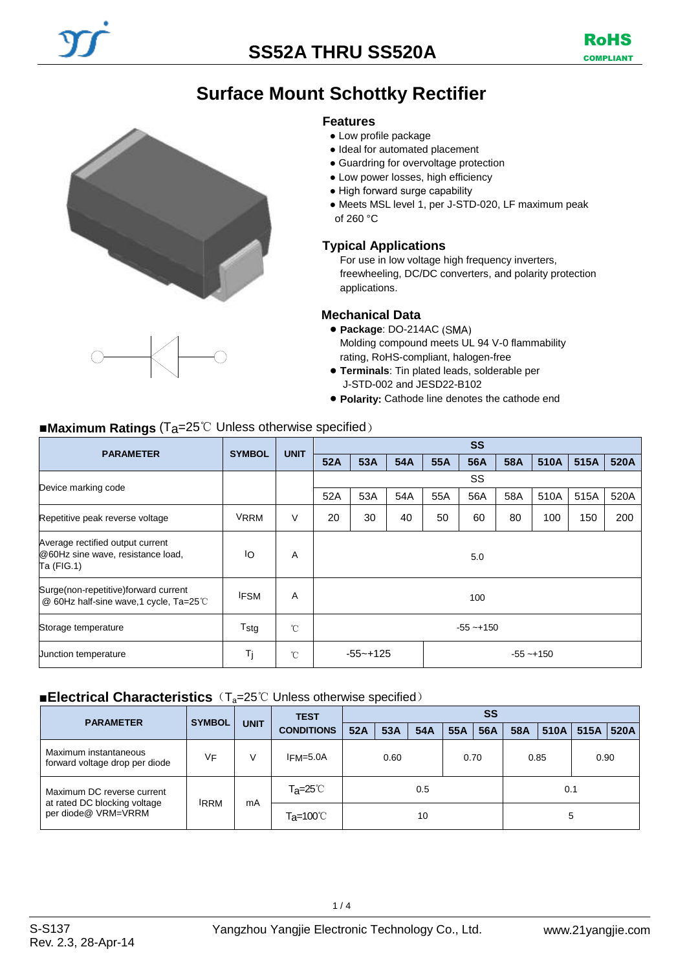# **Surface Mount Schottky Rectifier**

#### **Features**

- Low profile package
- Ideal for automated placement
- Guardring for overvoltage protection
- Low power losses, high efficiency
- High forward surge capability
- Meets MSL level 1, per J-STD-020, LF maximum peak of 260 °C

#### **Typical Applications**

For use in low voltage high frequency inverters, freewheeling, DC/DC converters, and polarity protection applications.

#### **Mechanical Data**

- **Package**: DO-214AC Molding compound meets UL 94 V-0 flammability rating, RoHS-compliant, halogen-free
- **Terminals**: Tin plated leads, solderable per J-STD-002 and JESD22-B102
- **Polarity:** Cathode line denotes the cathode end

#### ■**Maximum Ratings** (T<sub>a</sub>=25℃ Unless otherwise specified)

| <b>PARAMETER</b>                                                                    | <b>SYMBOL</b> | <b>UNIT</b>  | <b>SS</b>                    |     |     |     |     |     |      |      |      |
|-------------------------------------------------------------------------------------|---------------|--------------|------------------------------|-----|-----|-----|-----|-----|------|------|------|
|                                                                                     |               |              | 52A                          | 53A | 54A | 55A | 56A | 58A | 510A | 515A | 520A |
| Device marking code                                                                 |               |              |                              | SS  |     |     |     |     |      |      |      |
|                                                                                     |               |              | 52A                          | 53A | 54A | 55A | 56A | 58A | 510A | 515A | 520A |
| Repetitive peak reverse voltage                                                     | <b>VRRM</b>   | V            | 20                           | 30  | 40  | 50  | 60  | 80  | 100  | 150  | 200  |
| Average rectified output current<br>@60Hz sine wave, resistance load,<br>Ta (FIG.1) | ΙO            | A            | 5.0                          |     |     |     |     |     |      |      |      |
| Surge(non-repetitive)forward current<br>@ 60Hz half-sine wave,1 cycle, Ta=25℃       | <b>IFSM</b>   | A            | 100                          |     |     |     |     |     |      |      |      |
| Storage temperature                                                                 | Tstg          | $^{\circ}$ C | $-55 - +150$                 |     |     |     |     |     |      |      |      |
| Junction temperature                                                                | Tj            | $^{\circ}$ C | $-55 - +125$<br>$-55 - +150$ |     |     |     |     |     |      |      |      |

### ■**Electrical Characteristics** (T<sub>a</sub>=25℃ Unless otherwise specified)

| <b>PARAMETER</b>                                           | <b>SYMBOL</b> |             | <b>TEST</b>                    | SS   |     |      |     |      |     |      |      |      |
|------------------------------------------------------------|---------------|-------------|--------------------------------|------|-----|------|-----|------|-----|------|------|------|
|                                                            |               | <b>UNIT</b> | <b>CONDITIONS</b>              | 52A  | 53A | 54A  | 55A | 56A  | 58A | 510A | 515A | 520A |
| Maximum instantaneous<br>forward voltage drop per diode    | ٧F            | ν           | $IFM=5.0A$                     | 0.60 |     | 0.70 |     | 0.85 |     | 0.90 |      |      |
| Maximum DC reverse current<br>at rated DC blocking voltage | <b>IRRM</b>   |             | $Ta = 25^\circ \text{C}$       |      |     | 0.5  |     |      |     | 0.1  |      |      |
| per diode@ VRM=VRRM                                        |               | mA          | $T_{\mathsf{a}} = 100^{\circ}$ | 10   |     |      |     |      |     |      | 5    |      |



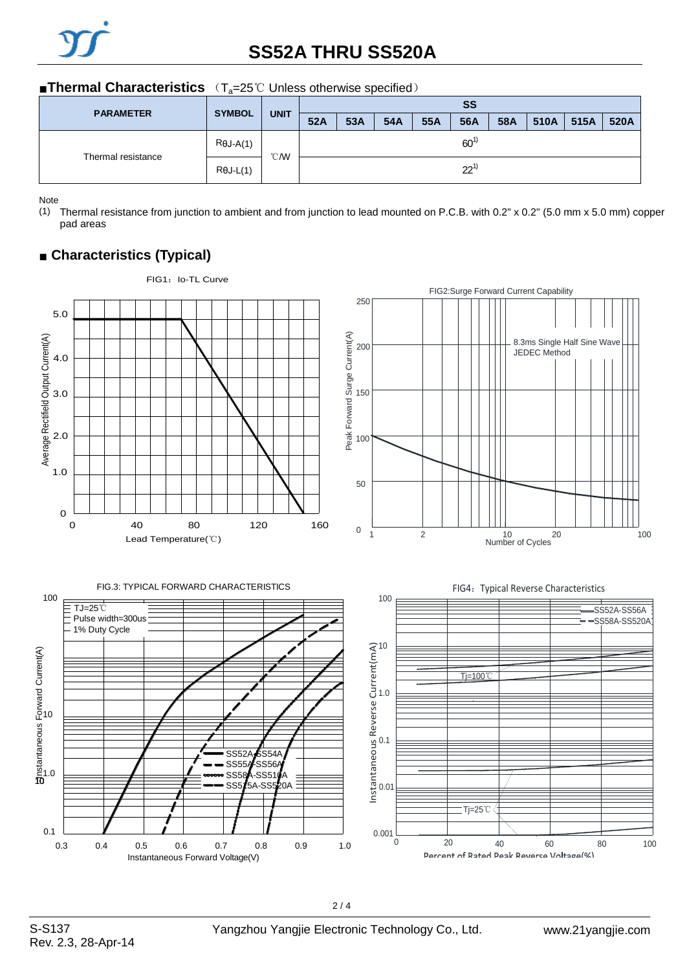

# **SS52A THRU SS520A**

#### ■**Thermal Characteristics** (T<sub>a</sub>=25℃ Unless otherwise specified)

| <b>PARAMETER</b>   | <b>SYMBOL</b>    |               | <b>SS</b> |                   |  |     |           |      |      |      |  |
|--------------------|------------------|---------------|-----------|-------------------|--|-----|-----------|------|------|------|--|
|                    |                  | <b>UNIT</b>   | 52A       | 53A<br>54A<br>55A |  | 56A | 58A       | 510A | 515A | 520A |  |
| Thermal resistance | $R\theta J-A(1)$ | $^{\circ}$ CM | $60^{1}$  |                   |  |     |           |      |      |      |  |
|                    | $R\theta J-L(1)$ |               |           |                   |  |     | $22^{11}$ |      |      |      |  |

Note

(1) Thermal resistance from junction to ambient and from junction to lead mounted on P.C.B. with 0.2" x 0.2" (5.0 mm x 5.0 mm) copper pad areas

## ■ **Characteristics (Typical)**

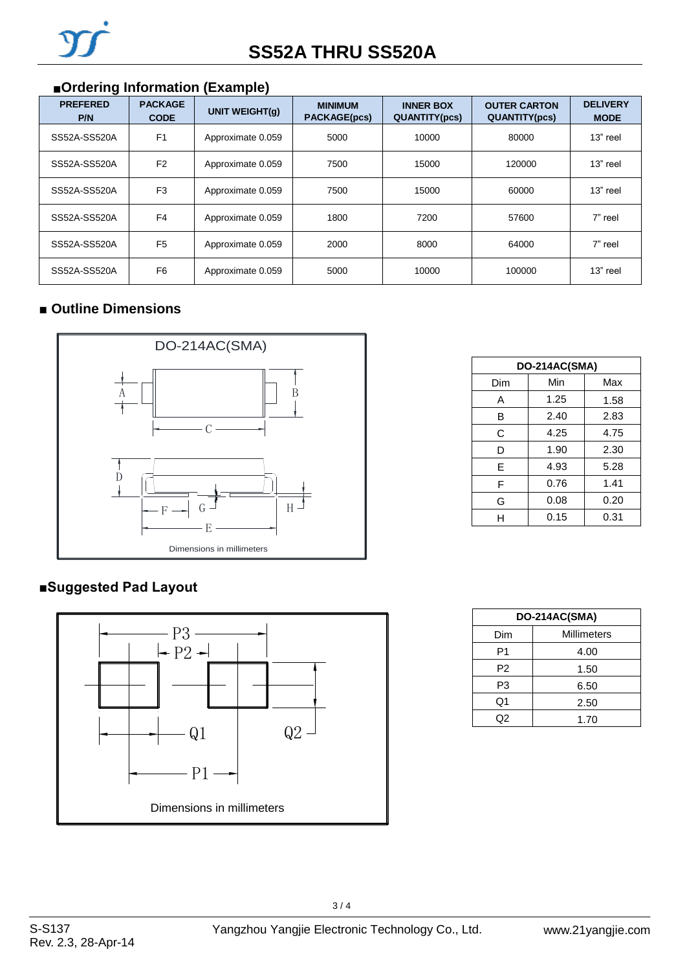# ■**Ordering Information (Example)**

| <b>PREFERED</b><br>P/N | <b>PACKAGE</b><br><b>CODE</b> | UNIT WEIGHT(q)    | <b>MINIMUM</b><br><b>PACKAGE(pcs)</b> | <b>INNER BOX</b><br><b>QUANTITY(pcs)</b> | <b>OUTER CARTON</b><br><b>QUANTITY(pcs)</b> | <b>DELIVERY</b><br><b>MODE</b> |
|------------------------|-------------------------------|-------------------|---------------------------------------|------------------------------------------|---------------------------------------------|--------------------------------|
| SS52A-SS520A           | F <sub>1</sub>                | Approximate 0.059 | 5000                                  | 10000                                    | 80000                                       | 13" reel                       |
| SS52A-SS520A           | F <sub>2</sub>                | Approximate 0.059 | 7500                                  | 15000                                    | 120000                                      | 13" reel                       |
| SS52A-SS520A           | F <sub>3</sub>                | Approximate 0.059 | 7500                                  | 15000                                    | 60000                                       | 13" reel                       |
| SS52A-SS520A           | F4                            | Approximate 0.059 | 1800                                  | 7200                                     | 57600                                       | 7" reel                        |
| SS52A-SS520A           | F <sub>5</sub>                | Approximate 0.059 | 2000                                  | 8000                                     | 64000                                       | 7" reel                        |
| SS52A-SS520A           | F <sub>6</sub>                | Approximate 0.059 | 5000                                  | 10000                                    | 100000                                      | 13" reel                       |

### ■ Outline Dimensions



### **■Suggested Pad Layout**



| DO-214AC(SMA) |      |      |  |  |  |  |
|---------------|------|------|--|--|--|--|
| Dim           | Min  | Max  |  |  |  |  |
| A             | 1.25 | 1.58 |  |  |  |  |
| B             | 2.40 | 2.83 |  |  |  |  |
| C             | 4.25 | 4.75 |  |  |  |  |
| D             | 1.90 | 2.30 |  |  |  |  |
| F             | 4.93 | 5.28 |  |  |  |  |
| F             | 0.76 | 1.41 |  |  |  |  |
| G             | 0.08 | 0.20 |  |  |  |  |
| н             | 0.15 | 0.31 |  |  |  |  |

| DO-214AC(SMA)  |             |  |  |  |
|----------------|-------------|--|--|--|
| Dim            | Millimeters |  |  |  |
| P1             | 4.00        |  |  |  |
| P <sub>2</sub> | 1.50        |  |  |  |
| P3             | 6.50        |  |  |  |
| Q1             | 2.50        |  |  |  |
| Q2             | 1.70        |  |  |  |